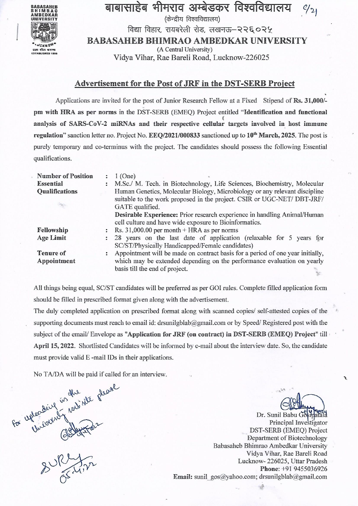

## बाबासाहेब भीमराव अम्बेडकर विश्वविद्यालय

(केन्द्रीय विश्वविद्यालय)

विद्या विहार, रायबरेली रोड, लखनऊ-२२६०२५

**BABASAHEB BHIMRAO AMBEDKAR UNIVERSITY** 

(A Central University)

Vidya Vihar, Rae Bareli Road, Lucknow-226025

### Advertisement for the Post of JRF in the DST-SERB Project

Applications are invited for the post of Junior Research Fellow at a Fixed Stipend of Rs. 31,000/pm with HRA as per norms in the DST-SERB (EMEQ) Project entitled "Identification and functional analysis of SARS-CoV-2 miRNAs and their respective cellular targets involved in host immune regulation" sanction letter no. Project No. EEQ/2021/000833 sanctioned up to 10<sup>th</sup> March, 2025. The post is purely temporary and co-terminus with the project. The candidates should possess the following Essential qualifications.

| <b>Number of Position</b> | $1$ (One)                                                                                                                                             |  |  |  |
|---------------------------|-------------------------------------------------------------------------------------------------------------------------------------------------------|--|--|--|
| <b>Essential</b>          | M.Sc./ M. Tech. in Biotechnology, Life Sciences, Biochemistry, Molecular                                                                              |  |  |  |
| <b>Qualifications</b>     | Human Genetics, Molecular Biology, Microbiology or any relevant discipline<br>suitable to the work proposed in the project. CSIR or UGC-NET/ DBT-JRF/ |  |  |  |
|                           | GATE qualified.                                                                                                                                       |  |  |  |
|                           | Desirable Experience: Prior research experience in handling Animal/Human<br>cell culture and have wide exposure to Bioinformatics.                    |  |  |  |
| Fellowship                | Rs. $31,000.00$ per month + HRA as per norms<br>$\ddot{\cdot}$                                                                                        |  |  |  |
| <b>Age Limit</b>          | 28 years on the last date of application (relaxable for 5 years for<br>$\ddot{\cdot}$<br>SC/ST/Physically Handicapped/Female candidates)              |  |  |  |
| <b>Tenure of</b>          | Appointment will be made on contract basis for a period of one year initially,<br>÷                                                                   |  |  |  |
| Appointment               | which may be extended depending on the performance evaluation on yearly<br>basis till the end of project.                                             |  |  |  |

All things being equal, SC/ST candidates will be preferred as per GOI rules. Complete filled application form should be filled in prescribed format given along with the advertisement.

The duly completed application on prescribed format along with scanned copies/ self-attested copies of the supporting documents must reach to email id: drsunilgblab@gmail.com or by Speed/Registered post with the subject of the email/Envelope as "Application for JRF (on contract) in DST-SERB (EMEQ) Project" till April 15, 2022. Shortlisted Candidates will be informed by e-mail about the interview date. So, the candidate must provide valid E-mail IDs in their applications.

No TA/DA will be paid if called for an interview.

for upleasing in the phase

Dr. Sunil Babu Gostpatala Principal Investigator DST-SERB (EMEQ) Project Department of Biotechnology Babasaheb Bhimrao Ambedkar University Vidya Vihar, Rae Bareli Road Lucknow-226025, Uttar Pradesh Phone: +91 9455036926 Email: sunil gos@yahoo.com; drsunilgblab@gmail.com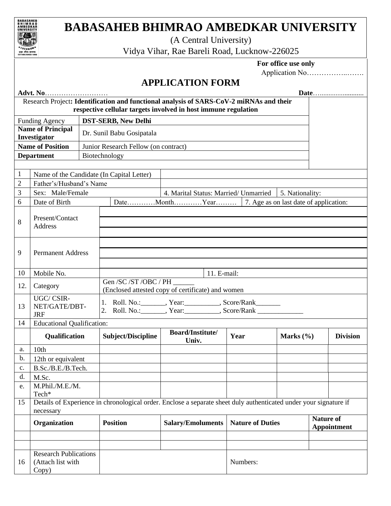

# **BABASAHEB BHIMRAO AMBEDKAR UNIVERSITY**

(A Central University)

Vidya Vihar, Rae Bareli Road, Lucknow-226025

### **For office use only**

Application No……………..…….

## **APPLICATION FORM**

| Advt. No                                            |                                                            |                  |                                                                                                                                                  |                                                                                                                   |                                                                   |                 |  |                 |
|-----------------------------------------------------|------------------------------------------------------------|------------------|--------------------------------------------------------------------------------------------------------------------------------------------------|-------------------------------------------------------------------------------------------------------------------|-------------------------------------------------------------------|-----------------|--|-----------------|
|                                                     |                                                            |                  |                                                                                                                                                  | Research Project: Identification and functional analysis of SARS-CoV-2 miRNAs and their                           |                                                                   |                 |  |                 |
|                                                     |                                                            |                  |                                                                                                                                                  | respective cellular targets involved in host immune regulation                                                    |                                                                   |                 |  |                 |
| <b>DST-SERB, New Delhi</b><br><b>Funding Agency</b> |                                                            |                  |                                                                                                                                                  |                                                                                                                   |                                                                   |                 |  |                 |
|                                                     | <b>Name of Principal</b>                                   |                  | Dr. Sunil Babu Gosipatala                                                                                                                        |                                                                                                                   |                                                                   |                 |  |                 |
|                                                     | Investigator                                               |                  |                                                                                                                                                  |                                                                                                                   |                                                                   |                 |  |                 |
|                                                     | <b>Name of Position</b>                                    |                  | Junior Research Fellow (on contract)                                                                                                             |                                                                                                                   |                                                                   |                 |  |                 |
|                                                     | <b>Department</b>                                          | Biotechnology    |                                                                                                                                                  |                                                                                                                   |                                                                   |                 |  |                 |
|                                                     |                                                            |                  |                                                                                                                                                  |                                                                                                                   |                                                                   |                 |  |                 |
| $\mathbf{1}$                                        | Name of the Candidate (In Capital Letter)                  |                  |                                                                                                                                                  |                                                                                                                   |                                                                   |                 |  |                 |
| $\overline{2}$                                      | Father's/Husband's Name                                    |                  |                                                                                                                                                  |                                                                                                                   |                                                                   |                 |  |                 |
| 3                                                   |                                                            | Sex: Male/Female |                                                                                                                                                  | 4. Marital Status: Married/ Unmarried                                                                             |                                                                   | 5. Nationality: |  |                 |
| 6                                                   | Date of Birth                                              |                  |                                                                                                                                                  |                                                                                                                   |                                                                   |                 |  |                 |
|                                                     | Present/Contact                                            |                  |                                                                                                                                                  |                                                                                                                   |                                                                   |                 |  |                 |
| 8                                                   | Address                                                    |                  |                                                                                                                                                  |                                                                                                                   |                                                                   |                 |  |                 |
|                                                     |                                                            |                  |                                                                                                                                                  |                                                                                                                   |                                                                   |                 |  |                 |
|                                                     |                                                            |                  |                                                                                                                                                  |                                                                                                                   |                                                                   |                 |  |                 |
| 9                                                   | <b>Permanent Address</b>                                   |                  |                                                                                                                                                  |                                                                                                                   |                                                                   |                 |  |                 |
|                                                     |                                                            |                  |                                                                                                                                                  |                                                                                                                   |                                                                   |                 |  |                 |
| 10                                                  | Mobile No.                                                 |                  |                                                                                                                                                  |                                                                                                                   |                                                                   |                 |  |                 |
|                                                     |                                                            |                  | Gen /SC /ST /OBC / PH                                                                                                                            | 11. E-mail:                                                                                                       |                                                                   |                 |  |                 |
| 12.                                                 | Category                                                   |                  |                                                                                                                                                  | (Enclosed attested copy of certificate) and women                                                                 |                                                                   |                 |  |                 |
|                                                     | UGC/CSIR-                                                  |                  |                                                                                                                                                  |                                                                                                                   |                                                                   |                 |  |                 |
| 13                                                  | NET/GATE/DBT-<br><b>JRF</b>                                |                  | 1. Roll. No.: ________, Year: __________, Score/Rank________<br>2. Roll. No.: ________, Year: __________, Score/Rank ___________________________ |                                                                                                                   |                                                                   |                 |  |                 |
| 14                                                  | <b>Educational Qualification:</b>                          |                  |                                                                                                                                                  |                                                                                                                   |                                                                   |                 |  |                 |
|                                                     |                                                            |                  |                                                                                                                                                  | <b>Board/Institute/</b>                                                                                           |                                                                   |                 |  |                 |
|                                                     | Qualification                                              |                  | Subject/Discipline                                                                                                                               | Univ.                                                                                                             | Year                                                              | Marks $(\% )$   |  | <b>Division</b> |
| a.                                                  | 10th                                                       |                  |                                                                                                                                                  |                                                                                                                   |                                                                   |                 |  |                 |
| b.                                                  | 12th or equivalent                                         |                  |                                                                                                                                                  |                                                                                                                   |                                                                   |                 |  |                 |
| c.                                                  | B.Sc./B.E./B.Tech.                                         |                  |                                                                                                                                                  |                                                                                                                   |                                                                   |                 |  |                 |
| d.                                                  | M.Sc.                                                      |                  |                                                                                                                                                  |                                                                                                                   |                                                                   |                 |  |                 |
| e.                                                  | M.Phil./M.E./M.                                            |                  |                                                                                                                                                  |                                                                                                                   |                                                                   |                 |  |                 |
|                                                     | Tech*                                                      |                  |                                                                                                                                                  |                                                                                                                   |                                                                   |                 |  |                 |
| 15                                                  | necessary                                                  |                  |                                                                                                                                                  | Details of Experience in chronological order. Enclose a separate sheet duly authenticated under your signature if |                                                                   |                 |  |                 |
|                                                     | Organization                                               |                  | <b>Position</b>                                                                                                                                  | <b>Salary/Emoluments</b>                                                                                          | <b>Nature of</b><br><b>Nature of Duties</b><br><b>Appointment</b> |                 |  |                 |
|                                                     |                                                            |                  |                                                                                                                                                  |                                                                                                                   |                                                                   |                 |  |                 |
|                                                     |                                                            |                  |                                                                                                                                                  |                                                                                                                   |                                                                   |                 |  |                 |
| 16                                                  | <b>Research Publications</b><br>(Attach list with<br>Copy) |                  |                                                                                                                                                  |                                                                                                                   | Numbers:                                                          |                 |  |                 |